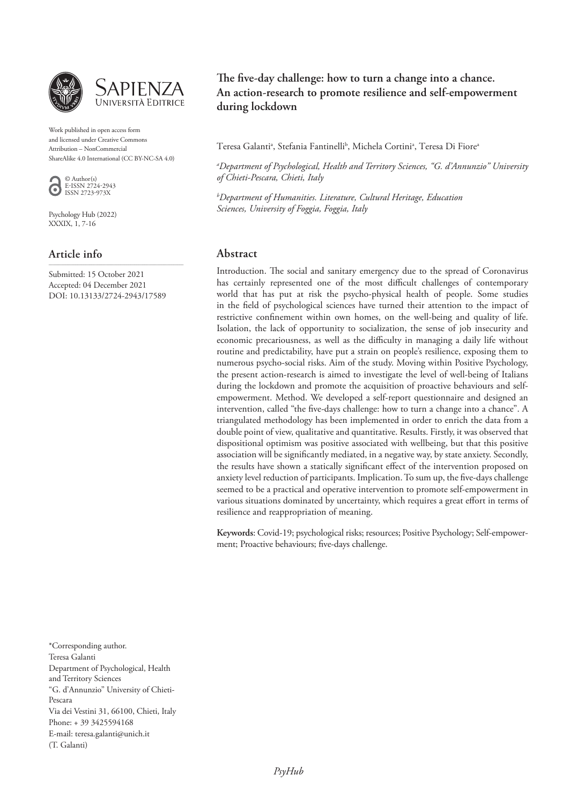

Work published in open access form and licensed under Creative Commons Attribution – NonCommercial ShareAlike 4.0 International (CC BY-NC-SA 4.0)



Psychology Hub (2022) XXXIX, 1, 7-16

# **Article info**

Submitted: 15 October 2021 Accepted: 04 December 2021 DOI: 10.13133/2724-2943/17589

\_\_\_\_\_\_\_\_\_\_\_\_\_\_\_\_\_\_\_\_\_\_\_\_\_\_\_\_\_\_\_\_\_\_\_\_\_\_\_\_\_\_\_\_\_\_\_\_\_\_\_\_\_\_\_\_\_\_\_\_\_\_\_\_\_\_

The five-day challenge: how to turn a change into a chance. **An action-research to promote resilience and self-empowerment during lockdown** 

Teresa Galantiª, Stefania Fantinelli<sup>b</sup>, Michela Cortiniª, Teresa Di Fioreª

*a Department of Psychological, Health and Territory Sciences, "G. d'Annunzio" University of Chieti-Pescara, Chieti, Italy*

*b Department of Humanities. Literature, Cultural Heritage, Education Sciences, University of Foggia, Foggia, Italy*

# **Abstract**

Introduction. The social and sanitary emergency due to the spread of Coronavirus has certainly represented one of the most difficult challenges of contemporary world that has put at risk the psycho-physical health of people. Some studies in the field of psychological sciences have turned their attention to the impact of restrictive confinement within own homes, on the well-being and quality of life. Isolation, the lack of opportunity to socialization, the sense of job insecurity and economic precariousness, as well as the difficulty in managing a daily life without routine and predictability, have put a strain on people's resilience, exposing them to numerous psycho-social risks. Aim of the study. Moving within Positive Psychology, the present action-research is aimed to investigate the level of well-being of Italians during the lockdown and promote the acquisition of proactive behaviours and selfempowerment. Method. We developed a self-report questionnaire and designed an intervention, called "the five-days challenge: how to turn a change into a chance". A triangulated methodology has been implemented in order to enrich the data from a double point of view, qualitative and quantitative. Results. Firstly, it was observed that dispositional optimism was positive associated with wellbeing, but that this positive association will be significantly mediated, in a negative way, by state anxiety. Secondly, the results have shown a statically significant effect of the intervention proposed on anxiety level reduction of participants. Implication. To sum up, the five-days challenge seemed to be a practical and operative intervention to promote self-empowerment in various situations dominated by uncertainty, which requires a great effort in terms of resilience and reappropriation of meaning.

**Keywords**: Covid-19; psychological risks; resources; Positive Psychology; Self-empowerment; Proactive behaviours; five-days challenge.

\*Corresponding author. Teresa Galanti Department of Psychological, Health and Territory Sciences "G. d'Annunzio" University of Chieti-Pescara Via dei Vestini 31, 66100, Chieti, Italy Phone: + 39 3425594168 E-mail: teresa.galanti@unich.it (T. Galanti)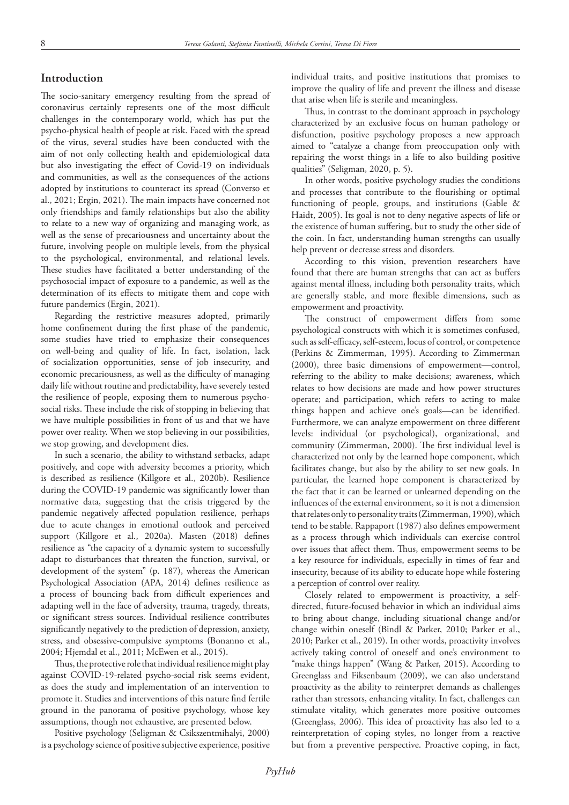# **Introduction**

The socio-sanitary emergency resulting from the spread of coronavirus certainly represents one of the most difficult challenges in the contemporary world, which has put the psycho-physical health of people at risk. Faced with the spread of the virus, several studies have been conducted with the aim of not only collecting health and epidemiological data but also investigating the effect of Covid-19 on individuals and communities, as well as the consequences of the actions adopted by institutions to counteract its spread (Converso et al., 2021; Ergin, 2021). The main impacts have concerned not only friendships and family relationships but also the ability to relate to a new way of organizing and managing work, as well as the sense of precariousness and uncertainty about the future, involving people on multiple levels, from the physical to the psychological, environmental, and relational levels. These studies have facilitated a better understanding of the psychosocial impact of exposure to a pandemic, as well as the determination of its effects to mitigate them and cope with future pandemics (Ergin, 2021).

Regarding the restrictive measures adopted, primarily home confinement during the first phase of the pandemic, some studies have tried to emphasize their consequences on well-being and quality of life. In fact, isolation, lack of socialization opportunities, sense of job insecurity, and economic precariousness, as well as the difficulty of managing daily life without routine and predictability, have severely tested the resilience of people, exposing them to numerous psychosocial risks. These include the risk of stopping in believing that we have multiple possibilities in front of us and that we have power over reality. When we stop believing in our possibilities, we stop growing, and development dies.

In such a scenario, the ability to withstand setbacks, adapt positively, and cope with adversity becomes a priority, which is described as resilience (Killgore et al., 2020b). Resilience during the COVID-19 pandemic was significantly lower than normative data, suggesting that the crisis triggered by the pandemic negatively affected population resilience, perhaps due to acute changes in emotional outlook and perceived support (Killgore et al., 2020a). Masten (2018) defines resilience as "the capacity of a dynamic system to successfully adapt to disturbances that threaten the function, survival, or development of the system" (p. 187), whereas the American Psychological Association (APA, 2014) defines resilience as a process of bouncing back from difficult experiences and adapting well in the face of adversity, trauma, tragedy, threats, or significant stress sources. Individual resilience contributes significantly negatively to the prediction of depression, anxiety, stress, and obsessive-compulsive symptoms (Bonanno et al., 2004; Hjemdal et al., 2011; McEwen et al., 2015).

Thus, the protective role that individual resilience might play against COVID-19-related psycho-social risk seems evident, as does the study and implementation of an intervention to promote it. Studies and interventions of this nature find fertile ground in the panorama of positive psychology, whose key assumptions, though not exhaustive, are presented below.

Positive psychology (Seligman & Csikszentmihalyi, 2000) is a psychology science of positive subjective experience, positive individual traits, and positive institutions that promises to improve the quality of life and prevent the illness and disease that arise when life is sterile and meaningless.

Thus, in contrast to the dominant approach in psychology characterized by an exclusive focus on human pathology or disfunction, positive psychology proposes a new approach aimed to "catalyze a change from preoccupation only with repairing the worst things in a life to also building positive qualities" (Seligman, 2020, p. 5).

In other words, positive psychology studies the conditions and processes that contribute to the flourishing or optimal functioning of people, groups, and institutions (Gable & Haidt, 2005). Its goal is not to deny negative aspects of life or the existence of human suffering, but to study the other side of the coin. In fact, understanding human strengths can usually help prevent or decrease stress and disorders.

According to this vision, prevention researchers have found that there are human strengths that can act as buffers against mental illness, including both personality traits, which are generally stable, and more flexible dimensions, such as empowerment and proactivity.

The construct of empowerment differs from some psychological constructs with which it is sometimes confused, such as self-efficacy, self-esteem, locus of control, or competence (Perkins & Zimmerman, 1995). According to Zimmerman (2000), three basic dimensions of empowerment—control, referring to the ability to make decisions; awareness, which relates to how decisions are made and how power structures operate; and participation, which refers to acting to make things happen and achieve one's goals—can be identified. Furthermore, we can analyze empowerment on three different levels: individual (or psychological), organizational, and community (Zimmerman, 2000). The first individual level is characterized not only by the learned hope component, which facilitates change, but also by the ability to set new goals. In particular, the learned hope component is characterized by the fact that it can be learned or unlearned depending on the influences of the external environment, so it is not a dimension that relates only to personality traits (Zimmerman, 1990), which tend to be stable. Rappaport (1987) also defines empowerment as a process through which individuals can exercise control over issues that affect them. Thus, empowerment seems to be a key resource for individuals, especially in times of fear and insecurity, because of its ability to educate hope while fostering a perception of control over reality.

Closely related to empowerment is proactivity, a selfdirected, future-focused behavior in which an individual aims to bring about change, including situational change and/or change within oneself (Bindl & Parker, 2010; Parker et al., 2010; Parker et al., 2019). In other words, proactivity involves actively taking control of oneself and one's environment to "make things happen" (Wang & Parker, 2015). According to Greenglass and Fiksenbaum (2009), we can also understand proactivity as the ability to reinterpret demands as challenges rather than stressors, enhancing vitality. In fact, challenges can stimulate vitality, which generates more positive outcomes (Greenglass, 2006). This idea of proactivity has also led to a reinterpretation of coping styles, no longer from a reactive but from a preventive perspective. Proactive coping, in fact,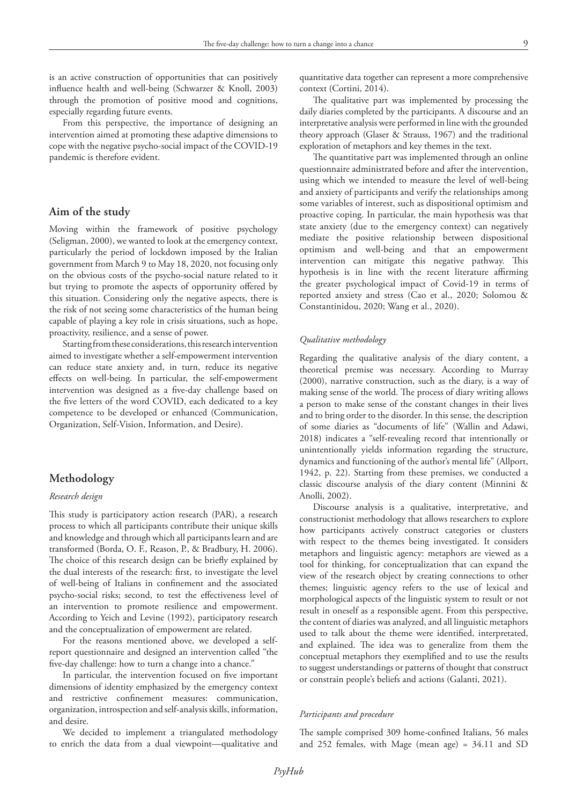is an active construction of opportunities that can positively influence health and well-being (Schwarzer & Knoll, 2003) through the promotion of positive mood and cognitions, especially regarding future events.

From this perspective, the importance of designing an intervention aimed at promoting these adaptive dimensions to cope with the negative psycho-social impact of the COVID-19 pandemic is therefore evident.

## **Aim of the study**

Moving within the framework of positive psychology (Seligman, 2000), we wanted to look at the emergency context, particularly the period of lockdown imposed by the Italian government from March 9 to May 18, 2020, not focusing only on the obvious costs of the psycho-social nature related to it but trying to promote the aspects of opportunity offered by this situation. Considering only the negative aspects, there is the risk of not seeing some characteristics of the human being capable of playing a key role in crisis situations, such as hope, proactivity, resilience, and a sense of power.

Starting from these considerations, this research intervention aimed to investigate whether a self-empowerment intervention can reduce state anxiety and, in turn, reduce its negative effects on well-being. In particular, the self-empowerment intervention was designed as a five-day challenge based on the five letters of the word COVID, each dedicated to a key competence to be developed or enhanced (Communication, Organization, Self-Vision, Information, and Desire).

## **Methodology**

## *Research design*

This study is participatory action research (PAR), a research process to which all participants contribute their unique skills and knowledge and through which all participants learn and are transformed (Borda, O. F., Reason, P., & Bradbury, H. 2006). The choice of this research design can be briefly explained by the dual interests of the research: first, to investigate the level of well-being of Italians in confinement and the associated psycho-social risks; second, to test the effectiveness level of an intervention to promote resilience and empowerment. According to Yeich and Levine (1992), participatory research and the conceptualization of empowerment are related.

For the reasons mentioned above, we developed a selfreport questionnaire and designed an intervention called "the five-day challenge: how to turn a change into a chance."

In particular, the intervention focused on five important dimensions of identity emphasized by the emergency context and restrictive confinement measures: communication, organization, introspection and self-analysis skills, information, and desire.

We decided to implement a triangulated methodology to enrich the data from a dual viewpoint—qualitative and quantitative data together can represent a more comprehensive context (Cortini, 2014).

The qualitative part was implemented by processing the daily diaries completed by the participants. A discourse and an interpretative analysis were performed in line with the grounded theory approach (Glaser & Strauss, 1967) and the traditional exploration of metaphors and key themes in the text.

The quantitative part was implemented through an online questionnaire administrated before and after the intervention, using which we intended to measure the level of well-being and anxiety of participants and verify the relationships among some variables of interest, such as dispositional optimism and proactive coping. In particular, the main hypothesis was that state anxiety (due to the emergency context) can negatively mediate the positive relationship between dispositional optimism and well-being and that an empowerment intervention can mitigate this negative pathway. This hypothesis is in line with the recent literature affirming the greater psychological impact of Covid-19 in terms of reported anxiety and stress (Cao et al., 2020; Solomou & Constantinidou, 2020; Wang et al., 2020).

### *Qualitative methodology*

Regarding the qualitative analysis of the diary content, a theoretical premise was necessary. According to Murray (2000), narrative construction, such as the diary, is a way of making sense of the world. The process of diary writing allows a person to make sense of the constant changes in their lives and to bring order to the disorder. In this sense, the description of some diaries as "documents of life" (Wallin and Adawi, 2018) indicates a "self-revealing record that intentionally or unintentionally yields information regarding the structure, dynamics and functioning of the author's mental life" (Allport, 1942, p. 22). Starting from these premises, we conducted a classic discourse analysis of the diary content (Minnini & Anolli, 2002).

Discourse analysis is a qualitative, interpretative, and constructionist methodology that allows researchers to explore how participants actively construct categories or clusters with respect to the themes being investigated. It considers metaphors and linguistic agency: metaphors are viewed as a tool for thinking, for conceptualization that can expand the view of the research object by creating connections to other themes; linguistic agency refers to the use of lexical and morphological aspects of the linguistic system to result or not result in oneself as a responsible agent. From this perspective, the content of diaries was analyzed, and all linguistic metaphors used to talk about the theme were identified, interpretated, and explained. The idea was to generalize from them the conceptual metaphors they exemplified and to use the results to suggest understandings or patterns of thought that construct or constrain people's beliefs and actions (Galanti, 2021).

### *Participants and procedure*

The sample comprised 309 home-confined Italians, 56 males and 252 females, with Mage (mean age) = 34.11 and SD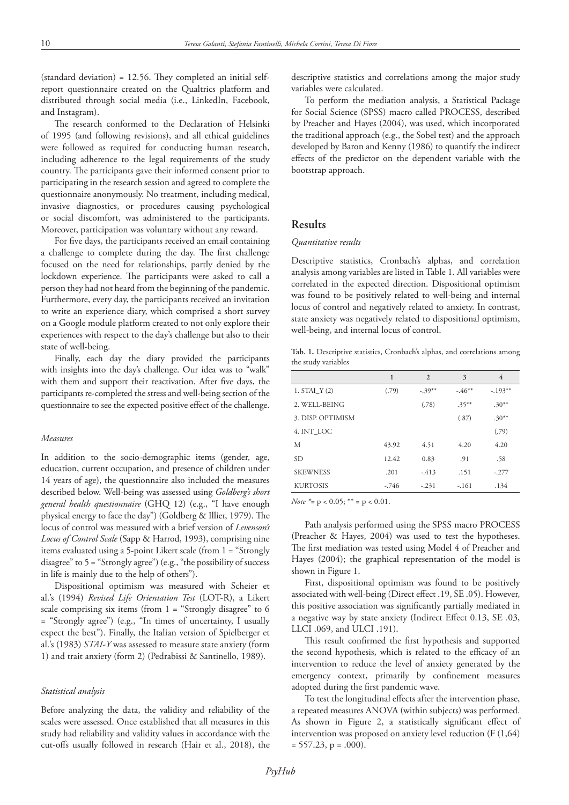(standard deviation) = 12.56. They completed an initial selfreport questionnaire created on the Qualtrics platform and distributed through social media (i.e., LinkedIn, Facebook, and Instagram).

The research conformed to the Declaration of Helsinki of 1995 (and following revisions), and all ethical guidelines were followed as required for conducting human research, including adherence to the legal requirements of the study country. The participants gave their informed consent prior to participating in the research session and agreed to complete the questionnaire anonymously. No treatment, including medical, invasive diagnostics, or procedures causing psychological or social discomfort, was administered to the participants. Moreover, participation was voluntary without any reward.

For five days, the participants received an email containing a challenge to complete during the day. The first challenge focused on the need for relationships, partly denied by the lockdown experience. The participants were asked to call a person they had not heard from the beginning of the pandemic. Furthermore, every day, the participants received an invitation to write an experience diary, which comprised a short survey on a Google module platform created to not only explore their experiences with respect to the day's challenge but also to their state of well-being.

Finally, each day the diary provided the participants with insights into the day's challenge. Our idea was to "walk" with them and support their reactivation. After five days, the participants re-completed the stress and well-being section of the questionnaire to see the expected positive effect of the challenge.

#### *Measures*

In addition to the socio-demographic items (gender, age, education, current occupation, and presence of children under 14 years of age), the questionnaire also included the measures described below. Well-being was assessed using *Goldberg's short general health questionnaire* (GHQ 12) (e.g., "I have enough physical energy to face the day") (Goldberg & Illier, 1979). The locus of control was measured with a brief version of *Levenson's Locus of Control Scale* (Sapp & Harrod, 1993), comprising nine items evaluated using a 5-point Likert scale (from 1 = "Strongly disagree" to 5 = "Strongly agree") (e.g., "the possibility of success in life is mainly due to the help of others").

Dispositional optimism was measured with Scheier et al.'s (1994) *Revised Life Orientation Test* (LOT-R), a Likert scale comprising six items (from 1 = "Strongly disagree" to 6 = "Strongly agree") (e.g., "In times of uncertainty, I usually expect the best"). Finally, the Italian version of Spielberger et al.'s (1983) *STAI-Y* was assessed to measure state anxiety (form 1) and trait anxiety (form 2) (Pedrabissi & Santinello, 1989).

#### *Statistical analysis*

Before analyzing the data, the validity and reliability of the scales were assessed. Once established that all measures in this study had reliability and validity values in accordance with the cut-offs usually followed in research (Hair et al., 2018), the

descriptive statistics and correlations among the major study variables were calculated.

To perform the mediation analysis, a Statistical Package for Social Science (SPSS) macro called PROCESS, described by Preacher and Hayes (2004), was used, which incorporated the traditional approach (e.g., the Sobel test) and the approach developed by Baron and Kenny (1986) to quantify the indirect effects of the predictor on the dependent variable with the bootstrap approach.

# **Results**

### *Quantitative results*

Descriptive statistics, Cronbach's alphas, and correlation analysis among variables are listed in Table 1. All variables were correlated in the expected direction. Dispositional optimism was found to be positively related to well-being and internal locus of control and negatively related to anxiety. In contrast, state anxiety was negatively related to dispositional optimism, well-being, and internal locus of control.

**Tab. 1***.* Descriptive statistics, Cronbach's alphas, and correlations among the study variables

|                  | 1       | 2       | 3        | 4         |
|------------------|---------|---------|----------|-----------|
| $1. STAI_Y(2)$   | (.79)   | $-39**$ | $-46**$  | $-.193**$ |
| 2. WELL-BEING    |         | (.78)   | $.35***$ | $.30**$   |
| 3. DISP OPTIMISM |         |         | (.87)    | $.30**$   |
| 4. INT LOC       |         |         |          | (.79)     |
| M                | 43.92   | 4.51    | 4.20     | 4.20      |
| <b>SD</b>        | 12.42   | 0.83    | .91      | .58       |
| <b>SKEWNESS</b>  | .201    | $-413$  | .151     | $-.277$   |
| <b>KURTOSIS</b>  | $-.746$ | $-.231$ | $-.161$  | .134      |

*Note \**= p < 0.05; \*\* = p < 0.01.

Path analysis performed using the SPSS macro PROCESS (Preacher & Hayes, 2004) was used to test the hypotheses. The first mediation was tested using Model 4 of Preacher and Hayes (2004); the graphical representation of the model is shown in Figure 1.

First, dispositional optimism was found to be positively associated with well-being (Direct effect .19, SE .05). However, this positive association was significantly partially mediated in a negative way by state anxiety (Indirect Effect 0.13, SE .03, LLCI .069, and ULCI .191).

This result confirmed the first hypothesis and supported the second hypothesis, which is related to the efficacy of an intervention to reduce the level of anxiety generated by the emergency context, primarily by confinement measures adopted during the first pandemic wave.

To test the longitudinal effects after the intervention phase, a repeated measures ANOVA (within subjects) was performed. As shown in Figure 2, a statistically significant effect of intervention was proposed on anxiety level reduction (F (1,64)  $= 557.23$ , p = .000).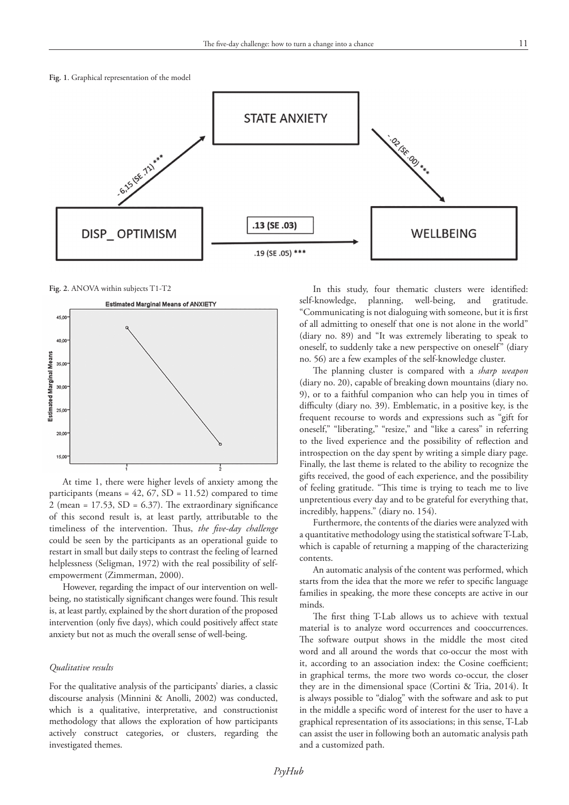



**Fig. 2**. ANOVA within subjects T1-T2



At time 1, there were higher levels of anxiety among the participants (means =  $42$ ,  $67$ ,  $SD = 11.52$ ) compared to time 2 (mean =  $17.53$ , SD =  $6.37$ ). The extraordinary significance of this second result is, at least partly, attributable to the timeliness of the intervention. Thus, *the five-day challenge* could be seen by the participants as an operational guide to restart in small but daily steps to contrast the feeling of learned helplessness (Seligman, 1972) with the real possibility of selfempowerment (Zimmerman, 2000).

However, regarding the impact of our intervention on wellbeing, no statistically significant changes were found. This result is, at least partly, explained by the short duration of the proposed intervention (only five days), which could positively affect state anxiety but not as much the overall sense of well-being.

#### *Qualitative results*

For the qualitative analysis of the participants' diaries, a classic discourse analysis (Minnini & Anolli, 2002) was conducted, which is a qualitative, interpretative, and constructionist methodology that allows the exploration of how participants actively construct categories, or clusters, regarding the investigated themes.

In this study, four thematic clusters were identified: self-knowledge, planning, well-being, and gratitude. "Communicating is not dialoguing with someone, but it is first of all admitting to oneself that one is not alone in the world" (diary no. 89) and "It was extremely liberating to speak to oneself, to suddenly take a new perspective on oneself" (diary no. 56) are a few examples of the self-knowledge cluster.

The planning cluster is compared with a *sharp weapon* (diary no. 20), capable of breaking down mountains (diary no. 9), or to a faithful companion who can help you in times of difficulty (diary no. 39). Emblematic, in a positive key, is the frequent recourse to words and expressions such as "gift for oneself," "liberating," "resize," and "like a caress" in referring to the lived experience and the possibility of reflection and introspection on the day spent by writing a simple diary page. Finally, the last theme is related to the ability to recognize the gifts received, the good of each experience, and the possibility of feeling gratitude. "This time is trying to teach me to live unpretentious every day and to be grateful for everything that, incredibly, happens." (diary no. 154).

Furthermore, the contents of the diaries were analyzed with a quantitative methodology using the statistical software T-Lab, which is capable of returning a mapping of the characterizing contents.

An automatic analysis of the content was performed, which starts from the idea that the more we refer to specific language families in speaking, the more these concepts are active in our minds.

The first thing T-Lab allows us to achieve with textual material is to analyze word occurrences and cooccurrences. The software output shows in the middle the most cited word and all around the words that co-occur the most with it, according to an association index: the Cosine coefficient; in graphical terms, the more two words co-occur, the closer they are in the dimensional space (Cortini & Tria, 2014). It is always possible to "dialog" with the software and ask to put in the middle a specific word of interest for the user to have a graphical representation of its associations; in this sense, T-Lab can assist the user in following both an automatic analysis path and a customized path.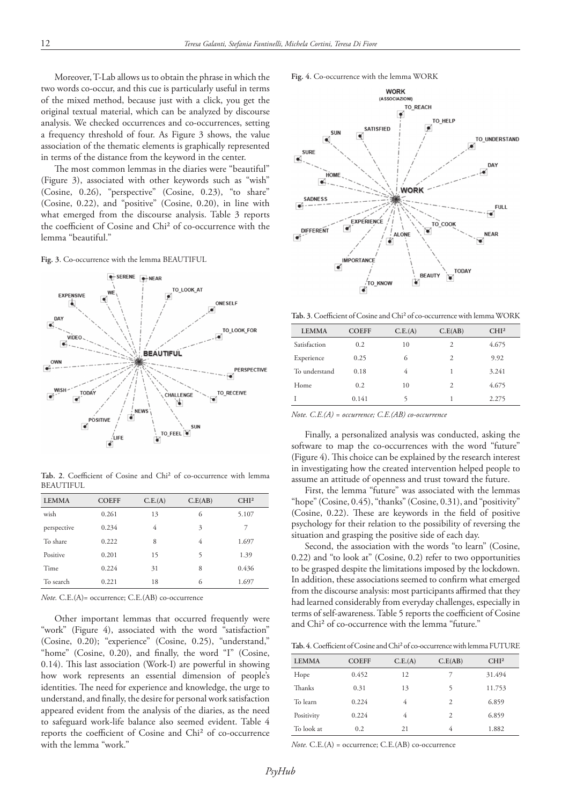Moreover, T-Lab allows us to obtain the phrase in which the two words co-occur, and this cue is particularly useful in terms of the mixed method, because just with a click, you get the original textual material, which can be analyzed by discourse analysis. We checked occurrences and co-occurrences, setting a frequency threshold of four. As Figure 3 shows, the value association of the thematic elements is graphically represented in terms of the distance from the keyword in the center.

The most common lemmas in the diaries were "beautiful" (Figure 3), associated with other keywords such as "wish" (Cosine, 0.26), "perspective" (Cosine, 0.23), "to share" (Cosine, 0.22), and "positive" (Cosine, 0.20), in line with what emerged from the discourse analysis. Table 3 reports the coefficient of Cosine and Chi² of co-occurrence with the lemma "beautiful."

**Fig. 3**. Co-occurrence with the lemma BEAUTIFUL



**Tab. 2**. Coefficient of Cosine and Chi² of co-occurrence with lemma BEAUTIFUL

| <b>LEMMA</b> | <b>COEFF</b> | C.E.(A) | C.E(AB) | CHI <sup>2</sup> |
|--------------|--------------|---------|---------|------------------|
| wish         | 0.261        | 13      | 6       | 5.107            |
| perspective  | 0.234        | 4       | 3       | 7                |
| To share     | 0.222        | 8       | 4       | 1.697            |
| Positive     | 0.201        | 15      | 5       | 1.39             |
| Time         | 0.224        | 31      | 8       | 0.436            |
| To search    | 0.221        | 18      | 6       | 1.697            |
|              |              |         |         |                  |

*Note.* C.E.(A)= occurrence; C.E.(AB) co-occurrence

Other important lemmas that occurred frequently were "work" (Figure 4), associated with the word "satisfaction" (Cosine, 0.20); "experience" (Cosine, 0.25), "understand," "home" (Cosine, 0.20), and finally, the word "I" (Cosine, 0.14). This last association (Work-I) are powerful in showing how work represents an essential dimension of people's identities. The need for experience and knowledge, the urge to understand, and finally, the desire for personal work satisfaction appeared evident from the analysis of the diaries, as the need to safeguard work-life balance also seemed evident. Table 4 reports the coefficient of Cosine and Chi² of co-occurrence with the lemma "work."





**Tab. 3**. Coefficient of Cosine and Chi² of co-occurrence with lemma WORK

| <b>LEMMA</b>  | <b>COEFF</b> | C.E.(A) | C.E(AB)        | CHI <sup>2</sup> |  |
|---------------|--------------|---------|----------------|------------------|--|
| Satisfaction  | 0.2          | 10      | $\overline{c}$ | 4.675            |  |
| Experience    | 0.25         | 6       | $\overline{c}$ | 9.92             |  |
| To understand | 0.18         | 4       | 1              | 3.241            |  |
| Home          | 0.2          | 10      | $\overline{c}$ | 4.675            |  |
|               | 0.141        |         |                | 2.275            |  |

*Note. C.E.(A) = occurrence; C.E.(AB) co-occurrence*

Finally, a personalized analysis was conducted, asking the software to map the co-occurrences with the word "future" (Figure 4). This choice can be explained by the research interest in investigating how the created intervention helped people to assume an attitude of openness and trust toward the future.

First, the lemma "future" was associated with the lemmas "hope" (Cosine, 0.45), "thanks" (Cosine, 0.31), and "positivity" (Cosine, 0.22). These are keywords in the field of positive psychology for their relation to the possibility of reversing the situation and grasping the positive side of each day.

Second, the association with the words "to learn" (Cosine, 0.22) and "to look at" (Cosine, 0.2) refer to two opportunities to be grasped despite the limitations imposed by the lockdown. In addition, these associations seemed to confirm what emerged from the discourse analysis: most participants affirmed that they had learned considerably from everyday challenges, especially in terms of self-awareness. Table 5 reports the coefficient of Cosine and Chi² of co-occurrence with the lemma "future."

**Tab. 4**. Coefficient of Cosine and Chi² of co-occurrence with lemma FUTURE

| <b>LEMMA</b> | <b>COEFF</b> | C.E.(A) | C.E(AB)        | CHI <sup>2</sup> |
|--------------|--------------|---------|----------------|------------------|
| Hope         | 0.452        | 12      |                | 31.494           |
| Thanks       | 0.31         | 13      | 5              | 11.753           |
| To learn     | 0.224        | 4       | $\overline{c}$ | 6.859            |
| Positivity   | 0.224        | 4       | 2              | 6.859            |
| To look at   | 0.2          | 21      | 4              | 1.882            |

*Note.* C.E.(A) = occurrence; C.E.(AB) co-occurrence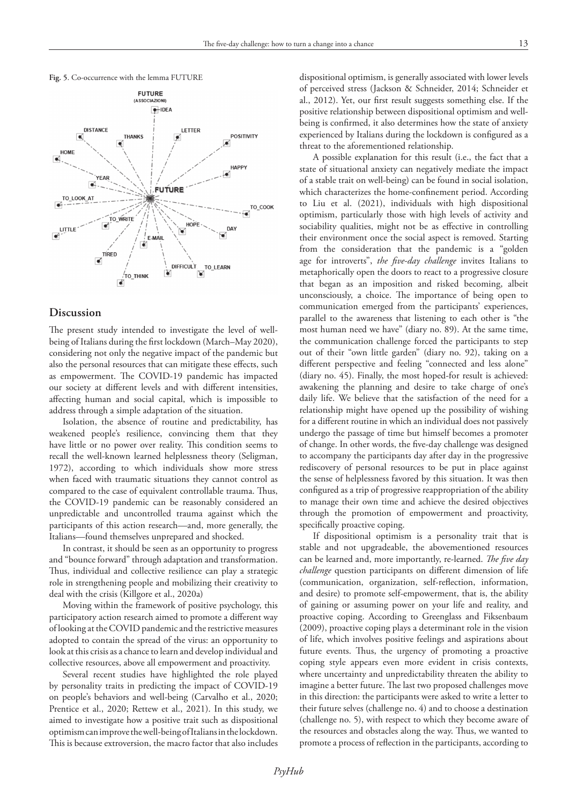



## **Discussion**

The present study intended to investigate the level of wellbeing of Italians during the first lockdown (March–May 2020), considering not only the negative impact of the pandemic but also the personal resources that can mitigate these effects, such as empowerment. The COVID-19 pandemic has impacted our society at different levels and with different intensities, affecting human and social capital, which is impossible to address through a simple adaptation of the situation.

Isolation, the absence of routine and predictability, has weakened people's resilience, convincing them that they have little or no power over reality. This condition seems to recall the well-known learned helplessness theory (Seligman, 1972), according to which individuals show more stress when faced with traumatic situations they cannot control as compared to the case of equivalent controllable trauma. Thus, the COVID-19 pandemic can be reasonably considered an unpredictable and uncontrolled trauma against which the participants of this action research—and, more generally, the Italians—found themselves unprepared and shocked.

In contrast, it should be seen as an opportunity to progress and "bounce forward" through adaptation and transformation. Thus, individual and collective resilience can play a strategic role in strengthening people and mobilizing their creativity to deal with the crisis (Killgore et al., 2020a)

Moving within the framework of positive psychology, this participatory action research aimed to promote a different way of looking at the COVID pandemic and the restrictive measures adopted to contain the spread of the virus: an opportunity to look at this crisis as a chance to learn and develop individual and collective resources, above all empowerment and proactivity.

Several recent studies have highlighted the role played by personality traits in predicting the impact of COVID-19 on people's behaviors and well-being (Carvalho et al., 2020; Prentice et al., 2020; Rettew et al., 2021). In this study, we aimed to investigate how a positive trait such as dispositional optimism can improve the well-being of Italians in the lockdown. This is because extroversion, the macro factor that also includes dispositional optimism, is generally associated with lower levels of perceived stress (Jackson & Schneider, 2014; Schneider et al., 2012). Yet, our first result suggests something else. If the positive relationship between dispositional optimism and wellbeing is confirmed, it also determines how the state of anxiety experienced by Italians during the lockdown is configured as a threat to the aforementioned relationship.

A possible explanation for this result (i.e., the fact that a state of situational anxiety can negatively mediate the impact of a stable trait on well-being) can be found in social isolation, which characterizes the home-confinement period. According to Liu et al. (2021), individuals with high dispositional optimism, particularly those with high levels of activity and sociability qualities, might not be as effective in controlling their environment once the social aspect is removed. Starting from the consideration that the pandemic is a "golden age for introverts", *the five-day challenge* invites Italians to metaphorically open the doors to react to a progressive closure that began as an imposition and risked becoming, albeit unconsciously, a choice. The importance of being open to communication emerged from the participants' experiences, parallel to the awareness that listening to each other is "the most human need we have" (diary no. 89). At the same time, the communication challenge forced the participants to step out of their "own little garden" (diary no. 92), taking on a different perspective and feeling "connected and less alone" (diary no. 45). Finally, the most hoped-for result is achieved: awakening the planning and desire to take charge of one's daily life. We believe that the satisfaction of the need for a relationship might have opened up the possibility of wishing for a different routine in which an individual does not passively undergo the passage of time but himself becomes a promoter of change. In other words, the five-day challenge was designed to accompany the participants day after day in the progressive rediscovery of personal resources to be put in place against the sense of helplessness favored by this situation. It was then configured as a trip of progressive reappropriation of the ability to manage their own time and achieve the desired objectives through the promotion of empowerment and proactivity, specifically proactive coping.

If dispositional optimism is a personality trait that is stable and not upgradeable, the abovementioned resources can be learned and, more importantly, re-learned. *The five day challenge* question participants on different dimension of life (communication, organization, self-reflection, information, and desire) to promote self-empowerment, that is, the ability of gaining or assuming power on your life and reality, and proactive coping. According to Greenglass and Fiksenbaum (2009), proactive coping plays a determinant role in the vision of life, which involves positive feelings and aspirations about future events. Thus, the urgency of promoting a proactive coping style appears even more evident in crisis contexts, where uncertainty and unpredictability threaten the ability to imagine a better future. The last two proposed challenges move in this direction: the participants were asked to write a letter to their future selves (challenge no. 4) and to choose a destination (challenge no. 5), with respect to which they become aware of the resources and obstacles along the way. Thus, we wanted to promote a process of reflection in the participants, according to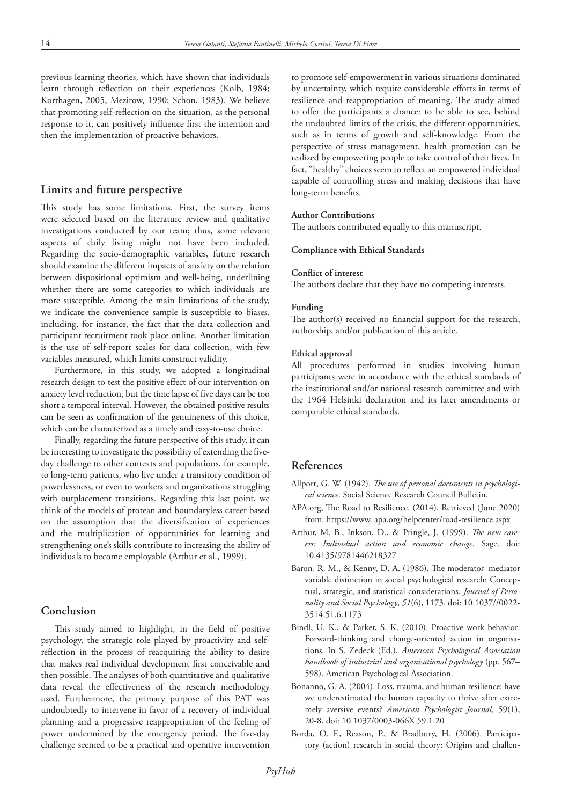previous learning theories, which have shown that individuals learn through reflection on their experiences (Kolb, 1984; Korthagen, 2005, Mezirow, 1990; Schon, 1983). We believe that promoting self-reflection on the situation, as the personal response to it, can positively influence first the intention and then the implementation of proactive behaviors.

# **Limits and future perspective**

This study has some limitations. First, the survey items were selected based on the literature review and qualitative investigations conducted by our team; thus, some relevant aspects of daily living might not have been included. Regarding the socio-demographic variables, future research should examine the different impacts of anxiety on the relation between dispositional optimism and well-being, underlining whether there are some categories to which individuals are more susceptible. Among the main limitations of the study, we indicate the convenience sample is susceptible to biases, including, for instance, the fact that the data collection and participant recruitment took place online. Another limitation is the use of self-report scales for data collection, with few variables measured, which limits construct validity.

Furthermore, in this study, we adopted a longitudinal research design to test the positive effect of our intervention on anxiety level reduction, but the time lapse of five days can be too short a temporal interval. However, the obtained positive results can be seen as confirmation of the genuineness of this choice, which can be characterized as a timely and easy-to-use choice.

Finally, regarding the future perspective of this study, it can be interesting to investigate the possibility of extending the fiveday challenge to other contexts and populations, for example, to long-term patients, who live under a transitory condition of powerlessness, or even to workers and organizations struggling with outplacement transitions. Regarding this last point, we think of the models of protean and boundaryless career based on the assumption that the diversification of experiences and the multiplication of opportunities for learning and strengthening one's skills contribute to increasing the ability of individuals to become employable (Arthur et al., 1999).

# **Conclusion**

This study aimed to highlight, in the field of positive psychology, the strategic role played by proactivity and selfreflection in the process of reacquiring the ability to desire that makes real individual development first conceivable and then possible. The analyses of both quantitative and qualitative data reveal the effectiveness of the research methodology used. Furthermore, the primary purpose of this PAT was undoubtedly to intervene in favor of a recovery of individual planning and a progressive reappropriation of the feeling of power undermined by the emergency period. The five-day challenge seemed to be a practical and operative intervention

to promote self-empowerment in various situations dominated by uncertainty, which require considerable efforts in terms of resilience and reappropriation of meaning. The study aimed to offer the participants a chance: to be able to see, behind the undoubted limits of the crisis, the different opportunities, such as in terms of growth and self-knowledge. From the perspective of stress management, health promotion can be realized by empowering people to take control of their lives. In fact, "healthy" choices seem to reflect an empowered individual capable of controlling stress and making decisions that have long-term benefits.

## **Author Contributions**

The authors contributed equally to this manuscript.

### **Compliance with Ethical Standards**

#### **Conflict of interest**

The authors declare that they have no competing interests.

## **Funding**

The author(s) received no financial support for the research, authorship, and/or publication of this article.

### **Ethical approval**

All procedures performed in studies involving human participants were in accordance with the ethical standards of the institutional and/or national research committee and with the 1964 Helsinki declaration and its later amendments or comparable ethical standards.

# **References**

- Allport, G. W. (1942). *The use of personal documents in psychological science*. Social Science Research Council Bulletin.
- APA.org, The Road to Resilience. (2014). Retrieved (June 2020) from: https://www. apa.org/helpcenter/road-resilience.aspx
- Arthur, M. B., Inkson, D., & Pringle, J. (1999). *The new careers: Individual action and economic change*. Sage. doi: 10.4135/9781446218327
- Baron, R. M., & Kenny, D. A. (1986). The moderator–mediator variable distinction in social psychological research: Conceptual, strategic, and statistical considerations. *Journal of Personality and Social Psychology*, *51*(6), 1173. doi: 10.1037//0022- 3514.51.6.1173
- Bindl, U. K., & Parker, S. K. (2010). Proactive work behavior: Forward-thinking and change-oriented action in organisations. In S. Zedeck (Ed.), *American Psychological Association handbook of industrial and organisational psychology* (pp. 567– 598). American Psychological Association.
- Bonanno, G. A. (2004). Loss, trauma, and human resilience: have we underestimated the human capacity to thrive after extremely aversive events? *American Psychologist Journal,* 59(1), 20-8. doi: 10.1037/0003-066X.59.1.20
- Borda, O. F., Reason, P., & Bradbury, H. (2006). Participatory (action) research in social theory: Origins and challen-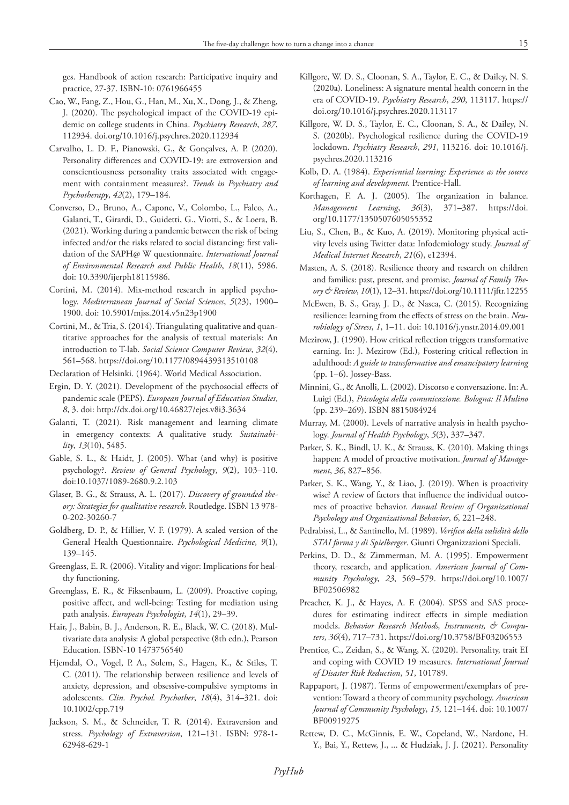ges. Handbook of action research: Participative inquiry and practice, 27-37. ISBN-10: 0761966455

- Cao, W., Fang, Z., Hou, G., Han, M., Xu, X., Dong, J., & Zheng, J. (2020). The psychological impact of the COVID-19 epidemic on college students in China. *Psychiatry Research*, *287*, 112934. doi.org/10.1016/j.psychres.2020.112934
- Carvalho, L. D. F., Pianowski, G., & Gonçalves, A. P. (2020). Personality differences and COVID-19: are extroversion and conscientiousness personality traits associated with engagement with containment measures?. *Trends in Psychiatry and Psychotherapy*, *42*(2), 179–184.
- Converso, D., Bruno, A., Capone, V., Colombo, L., Falco, A., Galanti, T., Girardi, D., Guidetti, G., Viotti, S., & Loera, B. (2021). Working during a pandemic between the risk of being infected and/or the risks related to social distancing: first validation of the SAPH@ W questionnaire. *International Journal of Environmental Research and Public Health*, *18*(11), 5986. doi: 10.3390/ijerph18115986.
- Cortini, M. (2014). Mix-method research in applied psychology. *Mediterranean Journal of Social Sciences*, *5*(23), 1900– 1900. doi: 10.5901/mjss.2014.v5n23p1900
- Cortini, M., & Tria, S. (2014). Triangulating qualitative and quantitative approaches for the analysis of textual materials: An introduction to T-lab. *Social Science Computer Review*, *32*(4), 561–568. https://doi.org/10.1177/0894439313510108
- Declaration of Helsinki. (1964). World Medical Association.
- Ergin, D. Y. (2021). Development of the psychosocial effects of pandemic scale (PEPS). *European Journal of Education Studies*, *8*, 3. doi: http://dx.doi.org/10.46827/ejes.v8i3.3634
- Galanti, T. (2021). Risk management and learning climate in emergency contexts: A qualitative study. *Sustainability*, *13*(10), 5485.
- Gable, S. L., & Haidt, J. (2005). What (and why) is positive psychology?. *Review of General Psychology*, *9*(2), 103–110. doi:10.1037/1089-2680.9.2.103
- Glaser, B. G., & Strauss, A. L. (2017). *Discovery of grounded theory: Strategies for qualitative research*. Routledge. ISBN 13 978- 0-202-30260-7
- Goldberg, D. P., & Hillier, V. F. (1979). A scaled version of the General Health Questionnaire. *Psychological Medicine*, *9*(1), 139–145.
- Greenglass, E. R. (2006). Vitality and vigor: Implications for healthy functioning.
- Greenglass, E. R., & Fiksenbaum, L. (2009). Proactive coping, positive affect, and well-being: Testing for mediation using path analysis. *European Psychologist*, *14*(1), 29–39.
- Hair, J., Babin, B. J., Anderson, R. E., Black, W. C. (2018). Multivariate data analysis: A global perspective (8th edn.), Pearson Education. ISBN-10 1473756540
- Hjemdal, O., Vogel, P. A., Solem, S., Hagen, K., & Stiles, T. C. (2011). The relationship between resilience and levels of anxiety, depression, and obsessive-compulsive symptoms in adolescents. *Clin. Psychol. Psychother*, *18*(4), 314–321. doi: 10.1002/cpp.719
- Jackson, S. M., & Schneider, T. R. (2014). Extraversion and stress. *Psychology of Extraversion*, 121–131. ISBN: 978-1- 62948-629-1
- Killgore, W. D. S., Cloonan, S. A., Taylor, E. C., & Dailey, N. S. (2020a). Loneliness: A signature mental health concern in the era of COVID-19. *Psychiatry Research*, *290*, 113117. https:// doi.org/10.1016/j.psychres.2020.113117
- Killgore, W. D. S., Taylor, E. C., Cloonan, S. A., & Dailey, N. S. (2020b). Psychological resilience during the COVID-19 lockdown. *Psychiatry Research*, *291*, 113216. doi: 10.1016/j. psychres.2020.113216
- Kolb, D. A. (1984). *Experiential learning: Experience as the source of learning and development*. Prentice-Hall.
- Korthagen, F. A. J. (2005). The organization in balance. *Management Learning*, *36*(3), 371–387. https://doi. org/10.1177/1350507605055352
- Liu, S., Chen, B., & Kuo, A. (2019). Monitoring physical activity levels using Twitter data: Infodemiology study. *Journal of Medical Internet Research*, *21*(6), e12394.
- Masten, A. S. (2018). Resilience theory and research on children and families: past, present, and promise. *Journal of Family Theory & Review*, *10*(1), 12–31. https://doi.org/10.1111/jftr.12255
- McEwen, B. S., Gray, J. D., & Nasca, C. (2015). Recognizing resilience: learning from the effects of stress on the brain. *Neurobiology of Stress*, *1*, 1–11. doi: 10.1016/j.ynstr.2014.09.001
- Mezirow, J. (1990). How critical reflection triggers transformative earning. In: J. Mezirow (Ed.), Fostering critical reflection in adulthood: *A guide to transformative and emancipatory learning* (pp. 1–6). Jossey-Bass.
- Minnini, G., & Anolli, L. (2002). Discorso e conversazione. In: A. Luigi (Ed.), *Psicologia della comunicazione. Bologna: Il Mulino* (pp. 239–269). ISBN 8815084924
- Murray, M. (2000). Levels of narrative analysis in health psychology. *Journal of Health Psychology*, *5*(3), 337–347.
- Parker, S. K., Bindl, U. K., & Strauss, K. (2010). Making things happen: A model of proactive motivation. *Journal of Management*, *36*, 827–856.
- Parker, S. K., Wang, Y., & Liao, J. (2019). When is proactivity wise? A review of factors that influence the individual outcomes of proactive behavior. *Annual Review of Organizational Psychology and Organizational Behavior*, *6*, 221–248.
- Pedrabissi, L., & Santinello, M. (1989). *Verifica della validità dello STAI forma y di Spielberger*. Giunti Organizzazioni Speciali.
- Perkins, D. D., & Zimmerman, M. A. (1995). Empowerment theory, research, and application. *American Journal of Community Psychology*, *23*, 569–579. https://doi.org/10.1007/ BF02506982
- Preacher, K. J., & Hayes, A. F. (2004). SPSS and SAS procedures for estimating indirect effects in simple mediation models. *Behavior Research Methods, Instruments, & Computers*, *36*(4), 717–731. https://doi.org/10.3758/BF03206553
- Prentice, C., Zeidan, S., & Wang, X. (2020). Personality, trait EI and coping with COVID 19 measures. *International Journal of Disaster Risk Reduction*, *51*, 101789.
- Rappaport, J. (1987). Terms of empowerment/exemplars of prevention: Toward a theory of community psychology. *American Journal of Community Psychology*, *15*, 121–144. doi: 10.1007/ BF00919275
- Rettew, D. C., McGinnis, E. W., Copeland, W., Nardone, H. Y., Bai, Y., Rettew, J., ... & Hudziak, J. J. (2021). Personality